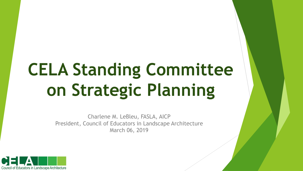# **CELA Standing Committee on Strategic Planning**

Charlene M. LeBleu, FASLA, AICP President, Council of Educators in Landscape Architecture March 06, 2019

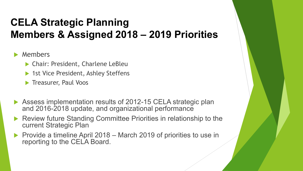## **CELA Strategic Planning Members & Assigned 2018 – 2019 Priorities**

Members

- Chair: President, Charlene LeBleu
- ▶ 1st Vice President, Ashley Steffens

**Treasurer, Paul Voos** 

- Assess implementation results of 2012-15 CELA strategic plan and 2016-2018 update, and organizational performance
- ▶ Review future Standing Committee Priorities in relationship to the current Strategic Plan
- Provide a timeline April 2018 March 2019 of priorities to use in reporting to the CELA Board.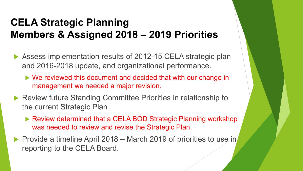## **CELA Strategic Planning Members & Assigned 2018 – 2019 Priorities**

- ▶ Assess implementation results of 2012-15 CELA strategic plan and 2016-2018 update, and organizational performance.
	- We reviewed this document and decided that with our change in management we needed a major revision.
- ▶ Review future Standing Committee Priorities in relationship to the current Strategic Plan
	- ▶ Review determined that a CELA BOD Strategic Planning workshop was needed to review and revise the Strategic Plan.
- Provide a timeline April 2018 March 2019 of priorities to use in reporting to the CELA Board.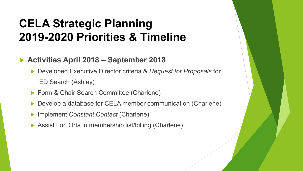## **CELA Strategic Planning 2019-2020 Priorities & Timeline**

#### **Activities April 2018 – September 2018**

 Developed Executive Director criteria & *Request for Proposals* for ED Search (Ashley)

- ▶ Form & Chair Search Committee (Charlene)
- Develop a database for CELA member communication (Charlene)
- Implement *Constant Contact* (Charlene)
- ▶ Assist Lori Orta in membership list/billing (Charlene)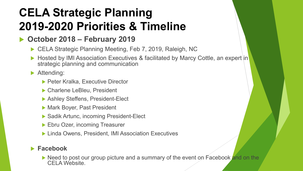# **CELA Strategic Planning 2019-2020 Priorities & Timeline**

## **October 2018 – February 2019**

- ▶ CELA Strategic Planning Meeting, Feb 7, 2019, Raleigh, NC
- ▶ Hosted by IMI Association Executives & facilitated by Marcy Cottle, an expert in strategic planning and communication

Attending:

- ▶ Peter Kralka, Executive Director
- ▶ Charlene LeBleu, President
- ▶ Ashley Steffens, President-Elect
- ▶ Mark Boyer, Past President
- ▶ Sadik Artunc, incoming President-Elect
- **Ebru Ozer, incoming Treasurer**
- ▶ Linda Owens, President, IMI Association Executives

#### **Facebook**

 $\blacktriangleright$  Need to post our group picture and a summary of the event on Facebook and on the CFI A Website.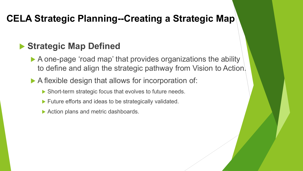## **CELA Strategic Planning--Creating a Strategic Map**

## **Strategic Map Defined**

- A one-page 'road map' that provides organizations the ability to define and align the strategic pathway from Vision to Action.
- A flexible design that allows for incorporation of:
	- ▶ Short-term strategic focus that evolves to future needs.
	- ▶ Future efforts and ideas to be strategically validated.
	- ▶ Action plans and metric dashboards.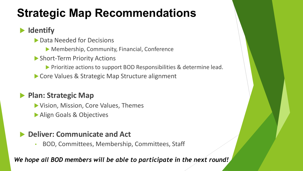# **Strategic Map Recommendations**

## **Identify**

- ▶ Data Needed for Decisions
	- ▶ Membership, Community, Financial, Conference
- ▶ Short-Term Priority Actions
	- **Prioritize actions to support BOD Responsibilities & determine lead.**
- Core Values & Strategic Map Structure alignment

## **Plan: Strategic Map**

- Vision, Mission, Core Values, Themes
- **Align Goals & Objectives**

#### **Deliver: Communicate and Act**

• BOD, Committees, Membership, Committees, Staff

#### *We hope all BOD members will be able to participate in the next round!*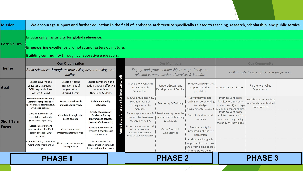| <b>Mission</b>             | We encourage support and further education in the field of landscape architecture specifically related to teaching, research, scholarship, and public service. |                                                                                                                      |                                                                      |                                                                                                              |                    |                                                                                                                  |                                                                   |                                                                                                    |                                                                                                                            |                                                                         |  |  |
|----------------------------|----------------------------------------------------------------------------------------------------------------------------------------------------------------|----------------------------------------------------------------------------------------------------------------------|----------------------------------------------------------------------|--------------------------------------------------------------------------------------------------------------|--------------------|------------------------------------------------------------------------------------------------------------------|-------------------------------------------------------------------|----------------------------------------------------------------------------------------------------|----------------------------------------------------------------------------------------------------------------------------|-------------------------------------------------------------------------|--|--|
|                            |                                                                                                                                                                | Encouraging inclusivity for global relevance.                                                                        |                                                                      |                                                                                                              |                    |                                                                                                                  |                                                                   |                                                                                                    |                                                                                                                            |                                                                         |  |  |
|                            | Core Values                                                                                                                                                    | <b>Empowering excellence</b> promotes and fosters our future.                                                        |                                                                      |                                                                                                              |                    |                                                                                                                  |                                                                   |                                                                                                    |                                                                                                                            |                                                                         |  |  |
|                            |                                                                                                                                                                | <b>Building community</b> through collaborative endeavors.                                                           |                                                                      |                                                                                                              |                    |                                                                                                                  |                                                                   |                                                                                                    |                                                                                                                            |                                                                         |  |  |
|                            |                                                                                                                                                                | <b>Our Organization</b>                                                                                              |                                                                      |                                                                                                              |                    | <b>Our Members</b>                                                                                               |                                                                   |                                                                                                    | <b>Our Community</b>                                                                                                       |                                                                         |  |  |
| Theme                      |                                                                                                                                                                | Build relevance through responsibility, accountability, and<br>agility.                                              |                                                                      |                                                                                                              |                    | Engage and grow membership through timely and<br>relevant communication of services & benefits.                  |                                                                   |                                                                                                    | Collaborate to strengthen the profession.                                                                                  |                                                                         |  |  |
| Goal                       |                                                                                                                                                                | Create governance<br>practices that support<br><b>BOD</b> responsibilities.<br>(Ashley & Sadik)                      | Create efficient<br>management of<br>organization.<br>(Ebru & Peter) | Create confidence and<br>action through effective<br>communciation.<br>(Charlene & Mark)                     | captured)<br>been  | Provide Relevant and<br>New Research<br>Perspectives.                                                            | Support Growth and<br>Development of Faculty.                     | Provide Curriculum that<br>supports Student<br>population.                                         | Promote Our Profession.                                                                                                    | Partner with Allied<br>Organizations                                    |  |  |
| <b>Short Term</b><br>Focus |                                                                                                                                                                | Define & systematize BOD/<br><b>Committee responsiblities</b><br>(performance, attendance, &<br>evaluation policies) | Secure data through<br>analysis and surveys.                         | <b>Build membership</b><br>database.                                                                         | has<br>(after data | ID & Communicate new<br>revenue research<br>funding sources for<br>members.                                      | <b>Mentoring &amp; Training</b>                                   | Continually update<br>curriculum w/ emerging<br>knowledge,                                         | Promote Landscape<br>Architectore to Young<br>students (k-12) a college<br>environmental issues & maior and career choice. | Establish better working<br>relationships with allied<br>organizations. |  |  |
|                            |                                                                                                                                                                | Develop & systematize<br>orientation materials<br>(welcome, departure)                                               | Complete Strategic Map<br>based on data.                             | <b>Create Standards of</b><br><b>Excellence for key</b><br>programs and services.<br>(Journal, Conf, Awards) | ocus               | Encourage members &<br>students to share new<br>research w/ CELA.                                                | Provide suppport in the<br>scholarship of teaching<br>& learning. | Prep Student for work<br>overseas                                                                  | Promote Landscape<br>Architecture education<br>as a means of growing<br>the body of knowledge.                             |                                                                         |  |  |
|                            |                                                                                                                                                                | <b>Establish recruitment</b><br>practices that identify &<br>target potential BOD<br>members.                        | Communicate and<br>implement Strategic Map.                          | Identify & systematize<br>website & social media<br>maintenance.                                             | Future             | Utilize cost-effective methods<br>of communciation to<br>disseminate research &<br>establish CELA as a resource. | Career Support &<br>Advancement                                   | Prepare faculty for<br>increased int'l student<br>population                                       |                                                                                                                            |                                                                         |  |  |
|                            |                                                                                                                                                                | Expand standing committee<br>members to members at<br>large.                                                         | Create systems to support<br>Strategic Map.                          | Create membership<br>communication schedule<br>based on identified needs.                                    |                    |                                                                                                                  |                                                                   | Address challenges &<br>opportunities that may<br>arise from online course<br>& accelerated degree |                                                                                                                            |                                                                         |  |  |
|                            | <b>PHASE</b>                                                                                                                                                   |                                                                                                                      |                                                                      |                                                                                                              |                    |                                                                                                                  | <b>PHASE 2</b>                                                    |                                                                                                    |                                                                                                                            | <b>PHASE 3</b>                                                          |  |  |